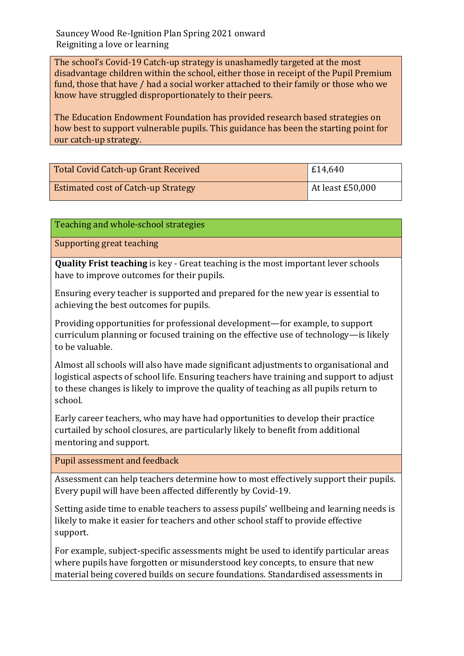The school's Covid-19 Catch-up strategy is unashamedly targeted at the most disadvantage children within the school, either those in receipt of the Pupil Premium fund, those that have / had a social worker attached to their family or those who we know have struggled disproportionately to their peers.

The Education Endowment Foundation has provided research based strategies on how best to support vulnerable pupils. This guidance has been the starting point for our catch-up strategy.

| <b>Total Covid Catch-up Grant Received</b> | £14,640            |
|--------------------------------------------|--------------------|
| <b>Estimated cost of Catch-up Strategy</b> | At least $£50,000$ |

Teaching and whole-school strategies

Supporting great teaching

**Quality Frist teaching** is key - Great teaching is the most important lever schools have to improve outcomes for their pupils.

Ensuring every teacher is supported and prepared for the new year is essential to achieving the best outcomes for pupils.

Providing opportunities for professional development—for example, to support curriculum planning or focused training on the effective use of technology—is likely to be valuable.

Almost all schools will also have made significant adjustments to organisational and logistical aspects of school life. Ensuring teachers have training and support to adjust to these changes is likely to improve the quality of teaching as all pupils return to school.

Early career teachers, who may have had opportunities to develop their practice curtailed by school closures, are particularly likely to benefit from additional mentoring and support.

Pupil assessment and feedback

Assessment can help teachers determine how to most effectively support their pupils. Every pupil will have been affected differently by Covid-19.

Setting aside time to enable teachers to assess pupils' wellbeing and learning needs is likely to make it easier for teachers and other school staff to provide effective support.

For example, subject-specific assessments might be used to identify particular areas where pupils have forgotten or misunderstood key concepts, to ensure that new material being covered builds on secure foundations. Standardised assessments in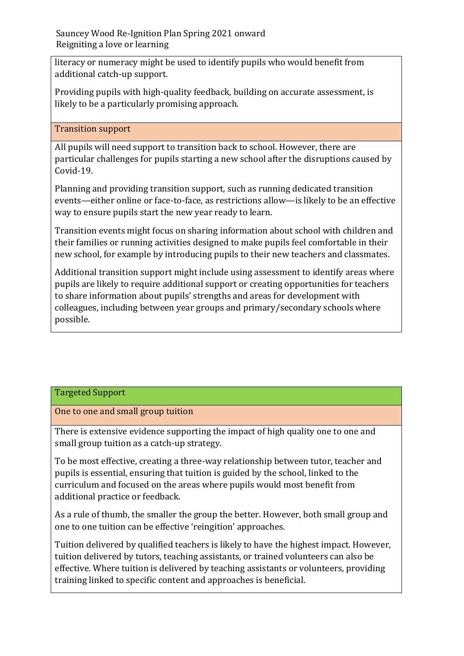literacy or numeracy might be used to identify pupils who would benefit from additional catch-up support.

Providing pupils with high-quality feedback, building on accurate assessment, is likely to be a particularly promising approach.

# Transition support

All pupils will need support to transition back to school. However, there are particular challenges for pupils starting a new school after the disruptions caused by Covid-19.

Planning and providing transition support, such as running dedicated transition events—either online or face-to-face, as restrictions allow—is likely to be an effective way to ensure pupils start the new year ready to learn.

Transition events might focus on sharing information about school with children and their families or running activities designed to make pupils feel comfortable in their new school, for example by introducing pupils to their new teachers and classmates.

Additional transition support might include using assessment to identify areas where pupils are likely to require additional support or creating opportunities for teachers to share information about pupils' strengths and areas for development with colleagues, including between year groups and primary/secondary schools where possible.

# Targeted Support

One to one and small group tuition

There is extensive evidence supporting the impact of high quality one to one and small group tuition as a catch-up strategy.

To be most effective, creating a three-way relationship between tutor, teacher and pupils is essential, ensuring that tuition is guided by the school, linked to the curriculum and focused on the areas where pupils would most benefit from additional practice or feedback.

As a rule of thumb, the smaller the group the better. However, both small group and one to one tuition can be effective 'reingition' approaches.

Tuition delivered by qualified teachers is likely to have the highest impact. However, tuition delivered by tutors, teaching assistants, or trained volunteers can also be effective. Where tuition is delivered by teaching assistants or volunteers, providing training linked to specific content and approaches is beneficial.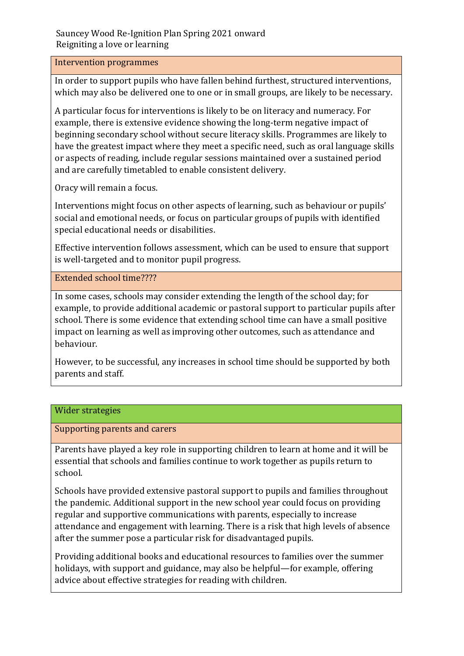#### Intervention programmes

In order to support pupils who have fallen behind furthest, structured interventions, which may also be delivered one to one or in small groups, are likely to be necessary.

A particular focus for interventions is likely to be on literacy and numeracy. For example, there is extensive evidence showing the long-term negative impact of beginning secondary school without secure literacy skills. Programmes are likely to have the greatest impact where they meet a specific need, such as oral language skills or aspects of reading, include regular sessions maintained over a sustained period and are carefully timetabled to enable consistent delivery.

Oracy will remain a focus.

Interventions might focus on other aspects of learning, such as behaviour or pupils' social and emotional needs, or focus on particular groups of pupils with identified special educational needs or disabilities.

Effective intervention follows assessment, which can be used to ensure that support is well-targeted and to monitor pupil progress.

Extended school time????

In some cases, schools may consider extending the length of the school day; for example, to provide additional academic or pastoral support to particular pupils after school. There is some evidence that extending school time can have a small positive impact on learning as well as improving other outcomes, such as attendance and behaviour.

However, to be successful, any increases in school time should be supported by both parents and staff.

## Wider strategies

Supporting parents and carers

Parents have played a key role in supporting children to learn at home and it will be essential that schools and families continue to work together as pupils return to school.

Schools have provided extensive pastoral support to pupils and families throughout the pandemic. Additional support in the new school year could focus on providing regular and supportive communications with parents, especially to increase attendance and engagement with learning. There is a risk that high levels of absence after the summer pose a particular risk for disadvantaged pupils.

Providing additional books and educational resources to families over the summer holidays, with support and guidance, may also be helpful—for example, offering advice about effective strategies for reading with children.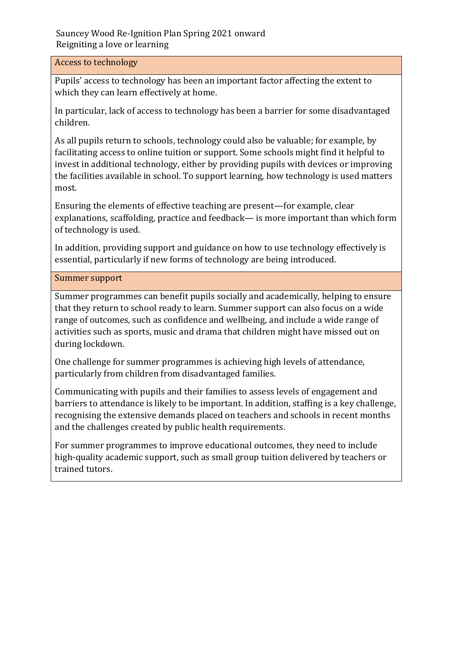#### Access to technology

Pupils' access to technology has been an important factor affecting the extent to which they can learn effectively at home.

In particular, lack of access to technology has been a barrier for some disadvantaged children.

As all pupils return to schools, technology could also be valuable; for example, by facilitating access to online tuition or support. Some schools might find it helpful to invest in additional technology, either by providing pupils with devices or improving the facilities available in school. To support learning, how technology is used matters most.

Ensuring the elements of effective teaching are present—for example, clear explanations, scaffolding, practice and feedback— is more important than which form of technology is used.

In addition, providing support and guidance on how to use technology effectively is essential, particularly if new forms of technology are being introduced.

#### Summer support

Summer programmes can benefit pupils socially and academically, helping to ensure that they return to school ready to learn. Summer support can also focus on a wide range of outcomes, such as confidence and wellbeing, and include a wide range of activities such as sports, music and drama that children might have missed out on during lockdown.

One challenge for summer programmes is achieving high levels of attendance, particularly from children from disadvantaged families.

Communicating with pupils and their families to assess levels of engagement and barriers to attendance is likely to be important. In addition, staffing is a key challenge, recognising the extensive demands placed on teachers and schools in recent months and the challenges created by public health requirements.

For summer programmes to improve educational outcomes, they need to include high-quality academic support, such as small group tuition delivered by teachers or trained tutors.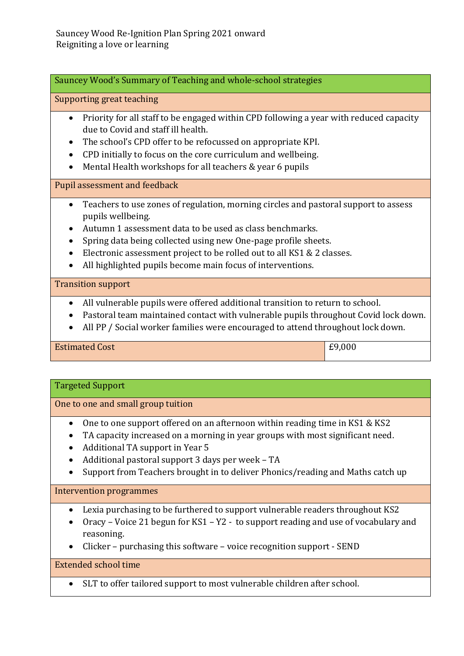Sauncey Wood's Summary of Teaching and whole-school strategies

Supporting great teaching

- Priority for all staff to be engaged within CPD following a year with reduced capacity due to Covid and staff ill health.
- The school's CPD offer to be refocussed on appropriate KPI.
- CPD initially to focus on the core curriculum and wellbeing.
- Mental Health workshops for all teachers & year 6 pupils

Pupil assessment and feedback

- Teachers to use zones of regulation, morning circles and pastoral support to assess pupils wellbeing.
- Autumn 1 assessment data to be used as class benchmarks.
- Spring data being collected using new One-page profile sheets.
- Electronic assessment project to be rolled out to all KS1 & 2 classes.
- All highlighted pupils become main focus of interventions.

#### Transition support

- All vulnerable pupils were offered additional transition to return to school.
- Pastoral team maintained contact with vulnerable pupils throughout Covid lock down.
- All PP / Social worker families were encouraged to attend throughout lock down.

# Estimated Cost **External Cost E9,000**

## Targeted Support

One to one and small group tuition

- One to one support offered on an afternoon within reading time in KS1 & KS2
- TA capacity increased on a morning in year groups with most significant need.
- Additional TA support in Year 5
- Additional pastoral support 3 days per week TA
- Support from Teachers brought in to deliver Phonics/reading and Maths catch up

# Intervention programmes

- Lexia purchasing to be furthered to support vulnerable readers throughout KS2
- Oracy Voice 21 begun for KS1 Y2 to support reading and use of vocabulary and reasoning.
- Clicker purchasing this software voice recognition support SEND

# Extended school time

SLT to offer tailored support to most vulnerable children after school.